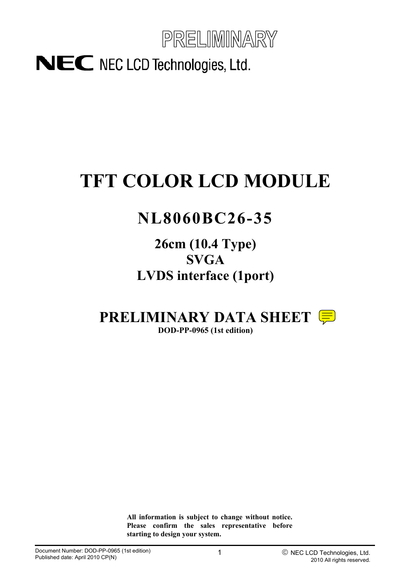

# NEC NEC LCD Technologies, Ltd.

# **TFT COLOR LCD MODULE**

# **NL8060BC26-35**

**26cm (10.4 Type) SVGA LVDS interface (1port)**

**PRELIMINARY DATA SHEET** 

**DOD-PP-0965 (1st edition)** 

**All information is subject to change without notice. Please confirm the sales representative before starting to design your system.**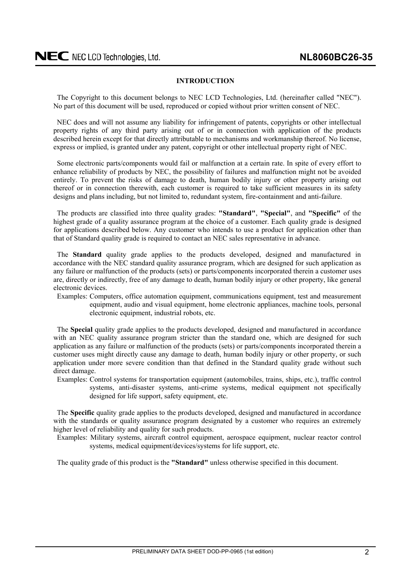#### **INTRODUCTION**

<span id="page-1-0"></span>The Copyright to this document belongs to NEC LCD Technologies, Ltd. (hereinafter called "NEC"). No part of this document will be used, reproduced or copied without prior written consent of NEC.

NEC does and will not assume any liability for infringement of patents, copyrights or other intellectual property rights of any third party arising out of or in connection with application of the products described herein except for that directly attributable to mechanisms and workmanship thereof. No license, express or implied, is granted under any patent, copyright or other intellectual property right of NEC.

Some electronic parts/components would fail or malfunction at a certain rate. In spite of every effort to enhance reliability of products by NEC, the possibility of failures and malfunction might not be avoided entirely. To prevent the risks of damage to death, human bodily injury or other property arising out thereof or in connection therewith, each customer is required to take sufficient measures in its safety designs and plans including, but not limited to, redundant system, fire-containment and anti-failure.

The products are classified into three quality grades: **"Standard"**, **"Special"**, and **"Specific"** of the highest grade of a quality assurance program at the choice of a customer. Each quality grade is designed for applications described below. Any customer who intends to use a product for application other than that of Standard quality grade is required to contact an NEC sales representative in advance.

The **Standard** quality grade applies to the products developed, designed and manufactured in accordance with the NEC standard quality assurance program, which are designed for such application as any failure or malfunction of the products (sets) or parts/components incorporated therein a customer uses are, directly or indirectly, free of any damage to death, human bodily injury or other property, like general electronic devices.

Examples: Computers, office automation equipment, communications equipment, test and measurement equipment, audio and visual equipment, home electronic appliances, machine tools, personal electronic equipment, industrial robots, etc.

The **Special** quality grade applies to the products developed, designed and manufactured in accordance with an NEC quality assurance program stricter than the standard one, which are designed for such application as any failure or malfunction of the products (sets) or parts/components incorporated therein a customer uses might directly cause any damage to death, human bodily injury or other property, or such application under more severe condition than that defined in the Standard quality grade without such direct damage.

Examples: Control systems for transportation equipment (automobiles, trains, ships, etc.), traffic control systems, anti-disaster systems, anti-crime systems, medical equipment not specifically designed for life support, safety equipment, etc.

The **Specific** quality grade applies to the products developed, designed and manufactured in accordance with the standards or quality assurance program designated by a customer who requires an extremely higher level of reliability and quality for such products.

Examples: Military systems, aircraft control equipment, aerospace equipment, nuclear reactor control systems, medical equipment/devices/systems for life support, etc.

The quality grade of this product is the **"Standard"** unless otherwise specified in this document.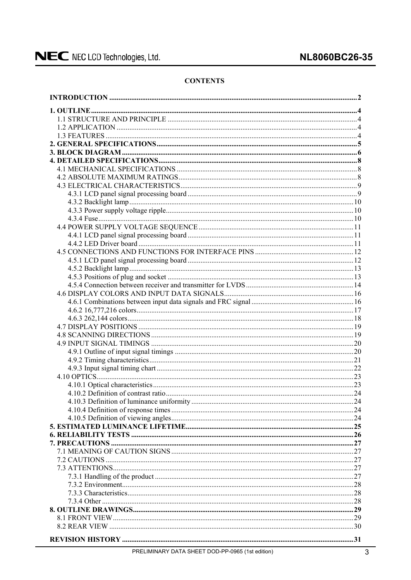# **CONTENTS**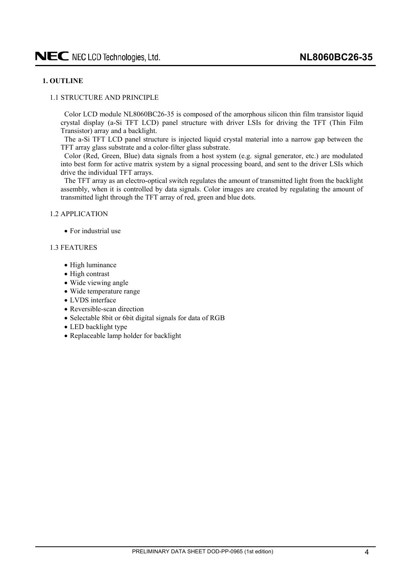# <span id="page-3-0"></span>**1. OUTLINE**

#### 1.1 STRUCTURE AND PRINCIPLE

Color LCD module NL8060BC26-35 is composed of the amorphous silicon thin film transistor liquid crystal display (a-Si TFT LCD) panel structure with driver LSIs for driving the TFT (Thin Film Transistor) array and a backlight.

The a-Si TFT LCD panel structure is injected liquid crystal material into a narrow gap between the TFT array glass substrate and a color-filter glass substrate.

Color (Red, Green, Blue) data signals from a host system (e.g. signal generator, etc.) are modulated into best form for active matrix system by a signal processing board, and sent to the driver LSIs which drive the individual TFT arrays.

The TFT array as an electro-optical switch regulates the amount of transmitted light from the backlight assembly, when it is controlled by data signals. Color images are created by regulating the amount of transmitted light through the TFT array of red, green and blue dots.

1.2 APPLICATION

• For industrial use

#### 1.3 FEATURES

- High luminance
- $\bullet$  High contrast
- Wide viewing angle
- Wide temperature range
- LVDS interface
- Reversible-scan direction
- Selectable 8bit or 6bit digital signals for data of RGB
- LED backlight type
- Replaceable lamp holder for backlight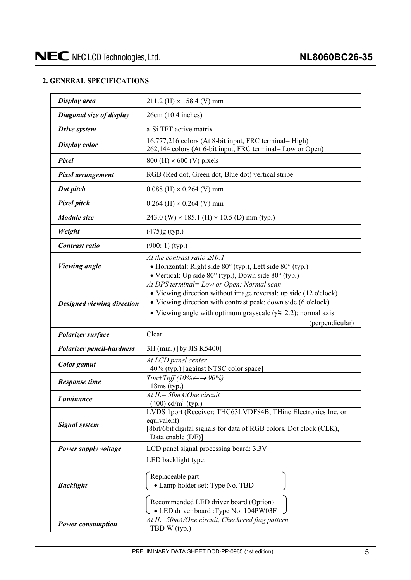# <span id="page-4-0"></span>**2. GENERAL SPECIFICATIONS**

| Display area                                                                                                                                                                                                                                                                                             | $211.2$ (H) $\times$ 158.4 (V) mm                                                                                                                                        |  |  |
|----------------------------------------------------------------------------------------------------------------------------------------------------------------------------------------------------------------------------------------------------------------------------------------------------------|--------------------------------------------------------------------------------------------------------------------------------------------------------------------------|--|--|
| Diagonal size of display                                                                                                                                                                                                                                                                                 | $26cm(10.4$ inches)                                                                                                                                                      |  |  |
| Drive system                                                                                                                                                                                                                                                                                             | a-Si TFT active matrix                                                                                                                                                   |  |  |
| <b>Display color</b>                                                                                                                                                                                                                                                                                     | 16,777,216 colors (At 8-bit input, FRC terminal= High)<br>262,144 colors (At 6-bit input, FRC terminal= Low or Open)                                                     |  |  |
| Pixel                                                                                                                                                                                                                                                                                                    | $800$ (H) $\times$ 600 (V) pixels                                                                                                                                        |  |  |
| Pixel arrangement                                                                                                                                                                                                                                                                                        | RGB (Red dot, Green dot, Blue dot) vertical stripe                                                                                                                       |  |  |
| Dot pitch                                                                                                                                                                                                                                                                                                | $0.088$ (H) $\times$ 0.264 (V) mm                                                                                                                                        |  |  |
| <b>Pixel pitch</b>                                                                                                                                                                                                                                                                                       | $0.264$ (H) $\times$ 0.264 (V) mm                                                                                                                                        |  |  |
| Module size                                                                                                                                                                                                                                                                                              | 243.0 (W) $\times$ 185.1 (H) $\times$ 10.5 (D) mm (typ.)                                                                                                                 |  |  |
| Weight                                                                                                                                                                                                                                                                                                   | $(475)$ g (typ.)                                                                                                                                                         |  |  |
| Contrast ratio                                                                                                                                                                                                                                                                                           | $(900:1)$ (typ.)                                                                                                                                                         |  |  |
| <b>Viewing angle</b>                                                                                                                                                                                                                                                                                     | At the contrast ratio $\geq 10$ :<br>• Horizontal: Right side 80° (typ.), Left side 80° (typ.)<br>• Vertical: Up side $80^\circ$ (typ.), Down side $80^\circ$ (typ.)     |  |  |
| At DPS terminal= Low or Open: Normal scan<br>• Viewing direction without image reversal: up side (12 o'clock)<br>• Viewing direction with contrast peak: down side (6 o'clock)<br>Designed viewing direction<br>• Viewing angle with optimum grayscale ( $\gamma$ = 2.2): normal axis<br>(perpendicular) |                                                                                                                                                                          |  |  |
| Polarizer surface                                                                                                                                                                                                                                                                                        | Clear                                                                                                                                                                    |  |  |
| <b>Polarizer pencil-hardness</b>                                                                                                                                                                                                                                                                         | 3H (min.) [by JIS K5400]                                                                                                                                                 |  |  |
| <b>Color</b> gamut                                                                                                                                                                                                                                                                                       | At LCD panel center<br>40% (typ.) [against NTSC color space]                                                                                                             |  |  |
| <b>Response time</b>                                                                                                                                                                                                                                                                                     | Ton+Toff (10% $\leftarrow \rightarrow 90\%$ )<br>$18ms$ (typ.)                                                                                                           |  |  |
| Luminance                                                                                                                                                                                                                                                                                                | $At IL = 50mA/One circuit$<br>$(400)$ cd/m <sup>2</sup> (typ.)                                                                                                           |  |  |
| <b>Signal system</b>                                                                                                                                                                                                                                                                                     | LVDS 1port (Receiver: THC63LVDF84B, THine Electronics Inc. or<br>equivalent)<br>[8bit/6bit digital signals for data of RGB colors, Dot clock (CLK),<br>Data enable (DE)] |  |  |
| Power supply voltage                                                                                                                                                                                                                                                                                     | LCD panel signal processing board: 3.3V                                                                                                                                  |  |  |
| <b>Backlight</b>                                                                                                                                                                                                                                                                                         | LED backlight type:<br>Replaceable part<br>· Lamp holder set: Type No. TBD<br>Recommended LED driver board (Option)<br>• LED driver board : Type No. 104PW03F            |  |  |
| Power consumption                                                                                                                                                                                                                                                                                        | At IL=50mA/One circuit, Checkered flag pattern<br>TBD W (typ.)                                                                                                           |  |  |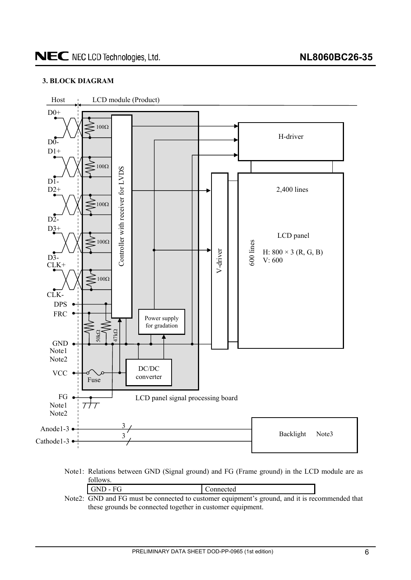# <span id="page-5-0"></span>**3. BLOCK DIAGRAM**



Note1: Relations between GND (Signal ground) and FG (Frame ground) in the LCD module are as follows.

| $GND - FG$                                                                                     | Connected |  |
|------------------------------------------------------------------------------------------------|-----------|--|
| Note2: GND and FG must be connected to customer equipment's ground, and it is recommended that |           |  |

these grounds be connected together in customer equipment.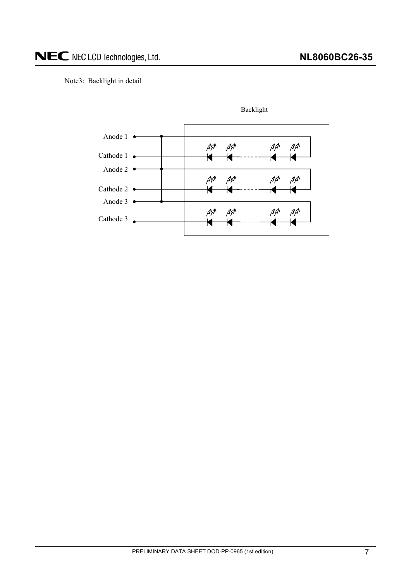Note3: Backlight in detail



PRELIMINARY DATA SHEET DOD-PP-0965 (1st edition) 7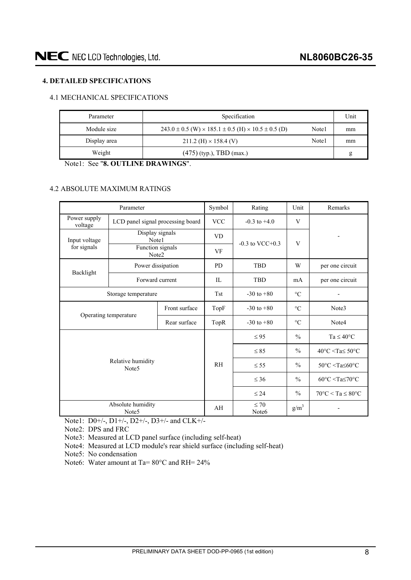# <span id="page-7-0"></span>**4. DETAILED SPECIFICATIONS**

# 4.1 MECHANICAL SPECIFICATIONS

| Parameter    | Specification                                                                |       |    |  |
|--------------|------------------------------------------------------------------------------|-------|----|--|
| Module size  | $243.0 \pm 0.5$ (W) $\times$ 185.1 $\pm$ 0.5 (H) $\times$ 10.5 $\pm$ 0.5 (D) | Note1 | mm |  |
| Display area | $211.2$ (H) $\times$ 158.4 (V)                                               | Note1 | mm |  |
| Weight       | $(475)$ (typ.), TBD (max.)                                                   |       | g  |  |

Note1: See "**8. OUTLINE DRAWINGS**".

# 4.2 ABSOLUTE MAXIMUM RATINGS

|                                        | Parameter                              | Symbol       | Rating                         | Unit                 | Remarks         |                                                                |
|----------------------------------------|----------------------------------------|--------------|--------------------------------|----------------------|-----------------|----------------------------------------------------------------|
| Power supply<br>voltage                | LCD panel signal processing board      |              | <b>VCC</b>                     | $-0.3$ to $+4.0$     | V               |                                                                |
| Input voltage                          | Display signals<br>Note1               |              | <b>VD</b>                      | $-0.3$ to VCC $+0.3$ | V               |                                                                |
| for signals                            | Function signals<br>Note2              |              | <b>VF</b>                      |                      |                 |                                                                |
| Backlight                              | Power dissipation                      |              | <b>PD</b>                      | <b>TBD</b>           | W               | per one circuit                                                |
|                                        | Forward current                        |              | IL                             | <b>TBD</b>           | mA              | per one circuit                                                |
| Storage temperature                    |                                        |              | <b>Tst</b>                     | $-30$ to $+80$       | $\rm ^{\circ}C$ |                                                                |
| Front surface<br>Operating temperature |                                        |              | TopF                           | $-30$ to $+80$       | $\circ$ C       | Note3                                                          |
|                                        |                                        | Rear surface | TopR                           | $-30$ to $+80$       | $\rm ^{\circ}C$ | Note4                                                          |
|                                        |                                        |              |                                | $\leq$ 95            | $\frac{0}{0}$   | $Ta \leq 40^{\circ}C$                                          |
|                                        |                                        |              |                                | $\leq 85$            | $\frac{0}{0}$   | $40^{\circ}$ C <ta<math>\leq 50^{\circ}C</ta<math>             |
|                                        | Relative humidity<br>Note <sub>5</sub> |              |                                | $\leq$ 55            | $\frac{0}{0}$   | $50^{\circ}$ C $\leq$ Ta $\leq$ 60 $^{\circ}$ C                |
|                                        |                                        |              |                                | $\leq 36$            | $\frac{0}{0}$   | $60^{\circ}$ C <ta<math>\leq70<math>^{\circ}</math>C</ta<math> |
|                                        |                                        |              |                                | $\leq 24$            | $\frac{0}{0}$   | $70^{\circ}$ C < Ta $\leq 80^{\circ}$ C                        |
|                                        | Absolute humidity<br>Note <sub>5</sub> | AH           | $\leq 70$<br>Note <sub>6</sub> | $g/m^3$              |                 |                                                                |

Note1: D0+/-, D1+/-, D2+/-, D3+/- and CLK+/-

Note2: DPS and FRC

Note3: Measured at LCD panel surface (including self-heat)

Note4: Measured at LCD module's rear shield surface (including self-heat)

Note5: No condensation

Note6: Water amount at Ta= 80°C and RH= 24%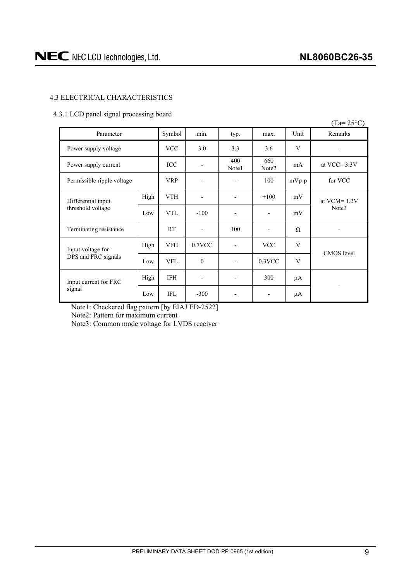$(T - 250C)$ 

# <span id="page-8-0"></span>4.3 ELECTRICAL CHARACTERISTICS

## 4.3.1 LCD panel signal processing board

|                            |      |            |                          |                          |                          |          | $(1a=25^{\circ}C)$       |  |
|----------------------------|------|------------|--------------------------|--------------------------|--------------------------|----------|--------------------------|--|
| Parameter                  |      | Symbol     | min.                     | typ.                     | max.                     | Unit     | Remarks                  |  |
| Power supply voltage       |      | <b>VCC</b> | 3.0                      | 3.3                      | 3.6                      | V        |                          |  |
| Power supply current       |      | ICC        | $\overline{\phantom{a}}$ | 400<br>Note1             | 660<br>Note2             | mA       | at VCC= $3.3V$           |  |
| Permissible ripple voltage |      | <b>VRP</b> | $\overline{\phantom{a}}$ | -                        | 100                      | $mVp-p$  | for VCC                  |  |
| Differential input         | High | <b>VTH</b> | -                        | ٠                        | $+100$                   | mV       | at $VCM = 1.2V$<br>Note3 |  |
| threshold voltage          | Low  | <b>VTL</b> | $-100$                   | $\overline{\phantom{m}}$ | $\overline{\phantom{a}}$ | mV       |                          |  |
| Terminating resistance     |      | <b>RT</b>  | $\overline{\phantom{a}}$ | 100                      | $\overline{\phantom{a}}$ | $\Omega$ |                          |  |
| Input voltage for          | High | <b>VFH</b> | $0.7$ VCC                | $\overline{a}$           | <b>VCC</b>               | V        | CMOS level               |  |
| DPS and FRC signals        | Low  | <b>VFL</b> | $\mathbf{0}$             | $\overline{\phantom{a}}$ | $0.3$ VCC                | V        |                          |  |
| Input current for FRC      | High | IFH        | $\overline{\phantom{a}}$ | $\overline{\phantom{a}}$ | 300                      | μA       |                          |  |
| signal                     | Low  | <b>IFL</b> | $-300$                   | $\overline{\phantom{a}}$ | $\overline{\phantom{a}}$ | μA       |                          |  |

Note1: Checkered flag pattern [by EIAJ ED-2522]

Note2: Pattern for maximum current

Note3: Common mode voltage for LVDS receiver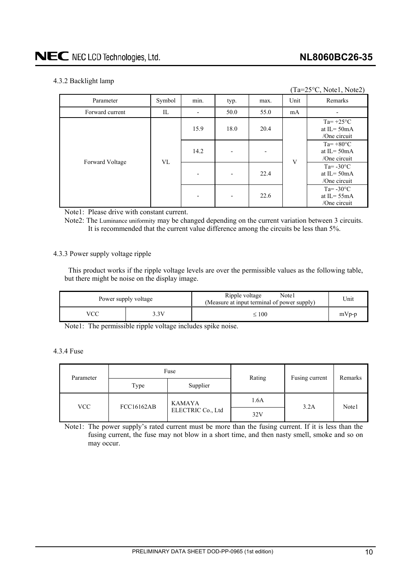$(T_{\alpha}=250C, \text{N}_{\alpha}t_{\alpha}1, \text{N}_{\alpha}t_{\alpha}2)$ 

### 4.3.2 Backlight lamp

| $1d - 23$ C, NOICI, NOICZ) |        |      |                          |      |      |                                                       |
|----------------------------|--------|------|--------------------------|------|------|-------------------------------------------------------|
| Parameter                  | Symbol | min. | typ.                     | max. | Unit | Remarks                                               |
| Forward current            | IL     |      | 50.0                     | 55.0 | mA   |                                                       |
|                            |        | 15.9 | 18.0                     | 20.4 |      | $Ta = +25^{\circ}C$<br>at IL= $50mA$<br>/One circuit  |
| Forward Voltage            | VL     | 14.2 | $\blacksquare$           |      | V    | $Ta=+80^{\circ}C$<br>at IL= $50mA$<br>/One circuit    |
|                            |        |      | $\overline{\phantom{0}}$ | 22.4 |      | Ta= $-30^{\circ}$ C<br>at $IL = 50mA$<br>/One circuit |
|                            |        |      | $\overline{\phantom{0}}$ | 22.6 |      | Ta= $-30^{\circ}$ C<br>at IL= $55mA$<br>/One circuit  |

Note1: Please drive with constant current.

Note2: The Luminance uniformity may be changed depending on the current variation between 3 circuits. It is recommended that the current value difference among the circuits be less than 5%.

#### 4.3.3 Power supply voltage ripple

This product works if the ripple voltage levels are over the permissible values as the following table, but there might be noise on the display image.

|     | Power supply voltage | Note1<br>Ripple voltage<br>(Measure at input terminal of power supply) | Jnit    |
|-----|----------------------|------------------------------------------------------------------------|---------|
| VCC | 3V                   | $\leq 100$                                                             | $mVp-p$ |

Note1: The permissible ripple voltage includes spike noise.

# 4.3.4 Fuse

| Parameter  |                   | Fuse              | Rating | Fusing current | Remarks |
|------------|-------------------|-------------------|--------|----------------|---------|
|            | Type              | Supplier          |        |                |         |
| <b>VCC</b> | <b>FCC16162AB</b> | <b>KAMAYA</b>     | 1.6A   | 3.2A           | Note1   |
|            |                   | ELECTRIC Co., Ltd | 32V    |                |         |

Note1: The power supply's rated current must be more than the fusing current. If it is less than the fusing current, the fuse may not blow in a short time, and then nasty smell, smoke and so on may occur.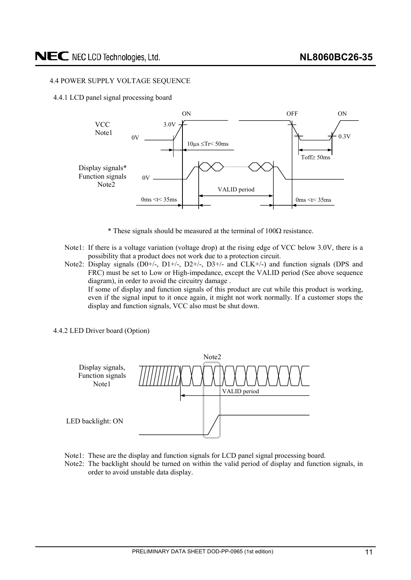### <span id="page-10-0"></span>4.4 POWER SUPPLY VOLTAGE SEQUENCE

4.4.1 LCD panel signal processing board



- $*$  These signals should be measured at the terminal of  $100\Omega$  resistance.
- Note1: If there is a voltage variation (voltage drop) at the rising edge of VCC below 3.0V, there is a possibility that a product does not work due to a protection circuit.
- Note2: Display signals (D0+/-, D1+/-, D2+/-, D3+/- and CLK+/-) and function signals (DPS and FRC) must be set to Low or High-impedance, except the VALID period (See above sequence diagram), in order to avoid the circuitry damage . If some of display and function signals of this product are cut while this product is working,

even if the signal input to it once again, it might not work normally. If a customer stops the display and function signals, VCC also must be shut down.

4.4.2 LED Driver board (Option)



- Note1: These are the display and function signals for LCD panel signal processing board.
- Note2: The backlight should be turned on within the valid period of display and function signals, in order to avoid unstable data display.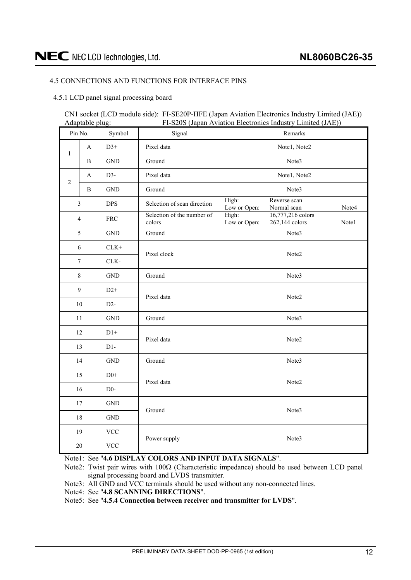# <span id="page-11-0"></span>4.5 CONNECTIONS AND FUNCTIONS FOR INTERFACE PINS

#### 4.5.1 LCD panel signal processing board

#### CN1 socket (LCD module side): FI-SE20P-HFE (Japan Aviation Electronics Industry Limited (JAE)) Adaptable plug: FI-S20S (Japan Aviation Electronics Industry Limited (JAE))

| Symbol<br>Pin No.<br>Signal |                |                           | Remarks                              |                                                                       |  |  |
|-----------------------------|----------------|---------------------------|--------------------------------------|-----------------------------------------------------------------------|--|--|
| $\,1\,$                     | $\mathbf{A}$   | $D3+$                     | Pixel data                           | Note1, Note2                                                          |  |  |
|                             | $\, {\bf B}$   | $\operatorname{GND}$      | Ground                               | Note3                                                                 |  |  |
| $\overline{2}$              | A              | $D3-$                     | Pixel data                           | Note1, Note2                                                          |  |  |
|                             | $\, {\bf B}$   | <b>GND</b>                | Ground                               | Note3                                                                 |  |  |
|                             | $\mathfrak{Z}$ | <b>DPS</b>                | Selection of scan direction          | High:<br>Reverse scan<br>Low or Open:<br>Normal scan<br>Note4         |  |  |
|                             | $\overline{4}$ | ${\rm FRC}$               | Selection of the number of<br>colors | High:<br>16,777,216 colors<br>Low or Open:<br>262,144 colors<br>Note1 |  |  |
|                             | 5              | <b>GND</b>                | Ground                               | Note3                                                                 |  |  |
|                             | 6              | $CLK+$                    | Pixel clock                          |                                                                       |  |  |
| $\tau$<br>CLK-              |                |                           |                                      | Note2                                                                 |  |  |
|                             | $8\,$          | $\operatorname{GND}$      | Ground                               | Note3                                                                 |  |  |
|                             | 9              | $D2+$                     | Pixel data                           | Note2                                                                 |  |  |
| $10\,$<br>$D2-$             |                |                           |                                      |                                                                       |  |  |
|                             | 11             | <b>GND</b>                | Ground                               | Note3                                                                 |  |  |
|                             | 12             | $D1+$                     | Pixel data                           | Note2                                                                 |  |  |
|                             | 13             | $D1-$                     |                                      |                                                                       |  |  |
|                             | 14             | <b>GND</b>                | Ground                               | Note3                                                                 |  |  |
|                             | $D0+$<br>15    |                           | Pixel data                           | Note2                                                                 |  |  |
| 16<br>$D0-$                 |                |                           |                                      |                                                                       |  |  |
| 17                          |                | $\operatorname{GND}$      | Ground                               |                                                                       |  |  |
| 18                          |                | $\operatorname{GND}$      |                                      | Note3                                                                 |  |  |
|                             | 19             | $\ensuremath{\text{VCC}}$ |                                      |                                                                       |  |  |
| $20\,$                      |                | <b>VCC</b>                | Power supply                         | Note3                                                                 |  |  |

Note1: See "**4.6 DISPLAY COLORS AND INPUT DATA SIGNALS**".

Note2: Twist pair wires with  $100\Omega$  (Characteristic impedance) should be used between LCD panel signal processing board and LVDS transmitter.

Note3: All GND and VCC terminals should be used without any non-connected lines.

Note4: See "**4.8 SCANNING DIRECTIONS**".

Note5: See "**4.5.4 Connection between receiver and transmitter for LVDS**".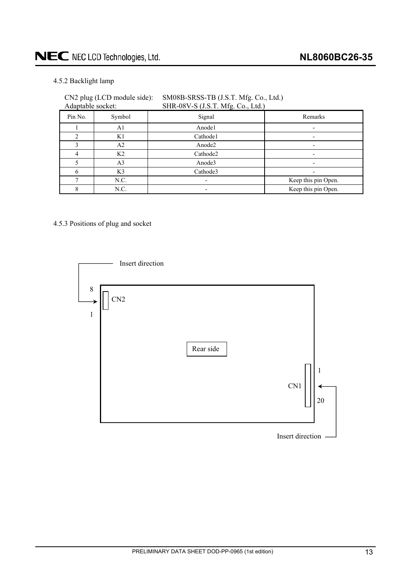# <span id="page-12-0"></span>NEC NEC LCD Technologies, Ltd.

# 4.5.2 Backlight lamp

| Adaptable socket: | CN2 plug (LCD module side): | SM08B-SRSS-TB (J.S.T. Mfg. Co., Ltd.)<br>SHR-08V-S (J.S.T. Mfg. Co., Ltd.) |                     |
|-------------------|-----------------------------|----------------------------------------------------------------------------|---------------------|
| Pin No.           | Symbol                      | Signal                                                                     | Remarks             |
|                   | A1                          | Anode1                                                                     |                     |
| C                 | K1                          | Cathode1                                                                   |                     |
|                   | A2                          | Anode <sub>2</sub>                                                         |                     |
| 4                 | K <sub>2</sub>              | Cathode2                                                                   |                     |
|                   | A <sub>3</sub>              | Anode3                                                                     |                     |
| 6                 | K3                          | Cathode3                                                                   |                     |
|                   | N.C.                        |                                                                            | Keep this pin Open. |
|                   | N.C.                        |                                                                            | Keep this pin Open. |

4.5.3 Positions of plug and socket

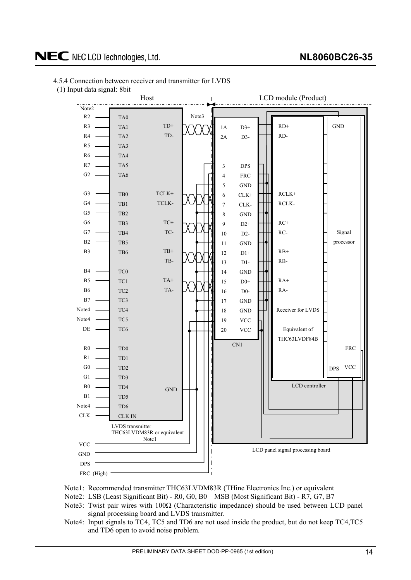# <span id="page-13-0"></span>NEC NEC LCD Technologies, Ltd.

# 4.5.4 Connection between receiver and transmitter for LVDS

(1) Input data signal: 8bit



Note1: Recommended transmitter THC63LVDM83R (THine Electronics Inc.) or equivalent

Note2: LSB (Least Significant Bit) - R0, G0, B0 MSB (Most Significant Bit) - R7, G7, B7

- Note3: Twist pair wires with  $100\Omega$  (Characteristic impedance) should be used between LCD panel signal processing board and LVDS transmitter.
- Note4: Input signals to TC4, TC5 and TD6 are not used inside the product, but do not keep TC4,TC5 and TD6 open to avoid noise problem.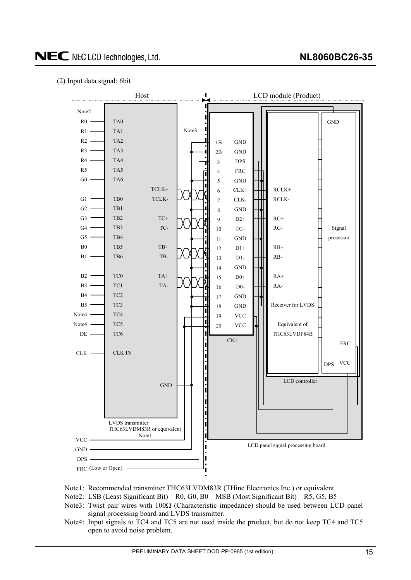### (2) Input data signal: 6bit



- Note1: Recommended transmitter THC63LVDM83R (THine Electronics Inc.) or equivalent
- Note2: LSB (Least Significant Bit) R0, G0, B0 MSB (Most Significant Bit) R5, G5, B5
- Note3: Twist pair wires with  $100\Omega$  (Characteristic impedance) should be used between LCD panel signal processing board and LVDS transmitter.
- Note4: Input signals to TC4 and TC5 are not used inside the product, but do not keep TC4 and TC5 open to avoid noise problem.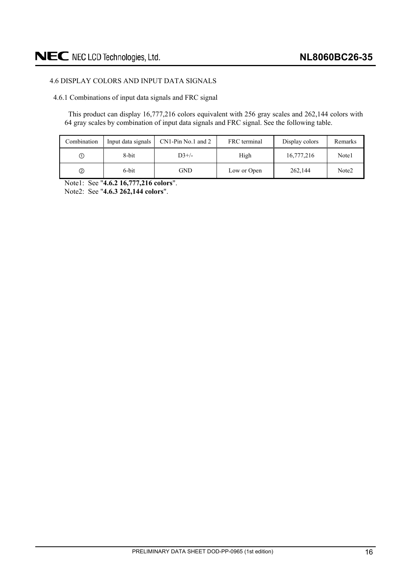# <span id="page-15-0"></span>4.6 DISPLAY COLORS AND INPUT DATA SIGNALS

4.6.1 Combinations of input data signals and FRC signal

This product can display 16,777,216 colors equivalent with 256 gray scales and 262,144 colors with 64 gray scales by combination of input data signals and FRC signal. See the following table.

| Combination   | Input data signals | $CN1-Pin No.1$ and 2 | FRC terminal | Display colors | Remarks |
|---------------|--------------------|----------------------|--------------|----------------|---------|
| ①             | 8-bit              | $D3+/-$              | High         | 16,777,216     | Note1   |
| $\circled{2}$ | 6-bit              | GND                  | Low or Open  | 262,144        | Note2   |

Note1: See "**4.6.2 16,777,216 colors**".

Note2: See "**4.6.3 262,144 colors**".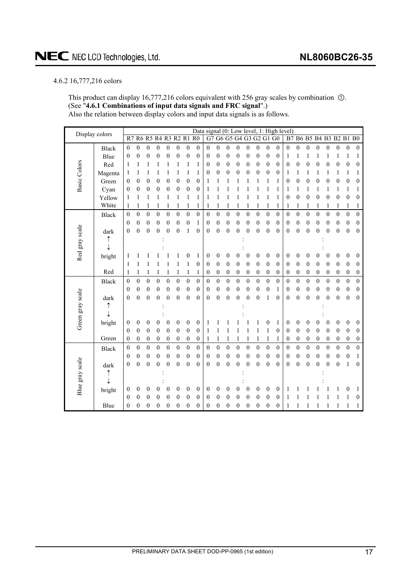# <span id="page-16-0"></span>4.6.2 16,777,216 colors

This product can display 16,777,216 colors equivalent with 256 gray scales by combination  $\Omega$ . (See "**4.6.1 Combinations of input data signals and FRC signal**".) Also the relation between display colors and input data signals is as follows.

| Display colors      |              |                  |                  |                  |                  |                  |                  |                  |                  |                  |                  |                  |                  |                      |                  |                  |                  | Data signal (0: Low level, 1: High level) |                  |                  |                  |                  |                  |                  |                  |
|---------------------|--------------|------------------|------------------|------------------|------------------|------------------|------------------|------------------|------------------|------------------|------------------|------------------|------------------|----------------------|------------------|------------------|------------------|-------------------------------------------|------------------|------------------|------------------|------------------|------------------|------------------|------------------|
|                     |              | R7               |                  | <b>R6 R5</b>     |                  |                  |                  | R4 R3 R2 R1 R0   |                  | G7               |                  |                  |                  | G6 G5 G4 G3 G2 G1 G0 |                  |                  |                  | B7                                        |                  | <b>B6 B5</b>     |                  | <b>B4 B3</b>     |                  | <b>B2 B1 B0</b>  |                  |
|                     | <b>Black</b> | $\mathbf{0}$     | $\mathbf{0}$     | $\overline{0}$   | $\mathbf{0}$     | $\overline{0}$   | $\overline{0}$   | $\mathbf{0}$     | $\mathbf{0}$     | $\overline{0}$   | $\mathbf{0}$     | $\mathbf{0}$     | $\mathbf{0}$     | $\mathbf{0}$         | $\mathbf{0}$     | $\mathbf{0}$     | $\theta$         | $\mathbf{0}$                              | $\boldsymbol{0}$ | $\boldsymbol{0}$ | $\mathbf{0}$     | $\boldsymbol{0}$ | $\boldsymbol{0}$ | $\boldsymbol{0}$ | $\boldsymbol{0}$ |
|                     | Blue         | $\boldsymbol{0}$ | $\boldsymbol{0}$ | $\boldsymbol{0}$ | $\boldsymbol{0}$ | $\boldsymbol{0}$ | $\boldsymbol{0}$ | $\mathbf{0}$     | 0                | 0                | $\boldsymbol{0}$ | $\boldsymbol{0}$ | 0                | $\boldsymbol{0}$     | $\boldsymbol{0}$ | $\mathbf{0}$     | $\boldsymbol{0}$ | 1                                         | 1                | 1                | 1                | 1                | 1                | 1                | 1                |
| <b>Basic Colors</b> | Red          | 1                | 1                |                  | 1                |                  |                  | 1                | 1                | 0                | $\boldsymbol{0}$ | $\boldsymbol{0}$ | 0                | 0                    | $\boldsymbol{0}$ | $\boldsymbol{0}$ | $\theta$         | $\mathbf{0}$                              | 0                | $\boldsymbol{0}$ | 0                | 0                | 0                | $\boldsymbol{0}$ | 0                |
|                     | Magenta      | 1                | 1                | 1                | 1                |                  | 1                | 1                | 1                | 0                | $\mathbf{0}$     | $\overline{0}$   | $\overline{0}$   | $\mathbf{0}$         | $\overline{0}$   | $\mathbf{0}$     | $\boldsymbol{0}$ | 1                                         | 1                | 1                | 1                | 1                | 1                | 1                | 1                |
|                     | Green        | 0                | 0                | 0                | $\boldsymbol{0}$ | 0                | $\overline{0}$   | $\boldsymbol{0}$ | $\boldsymbol{0}$ | 1                |                  | 1                | 1                |                      | 1                | 1                | 1                | 0                                         | $\boldsymbol{0}$ | 0                | 0                | 0                | 0                | $\boldsymbol{0}$ | 0                |
|                     | Cyan         | $\boldsymbol{0}$ | 0                | $\boldsymbol{0}$ | $\boldsymbol{0}$ | 0                | 0                | $\boldsymbol{0}$ | $\boldsymbol{0}$ | 1                |                  |                  |                  |                      |                  | 1                | 1                | 1                                         |                  | 1                |                  |                  | 1                | 1                | 1                |
|                     | Yellow       | 1                | 1                | 1                | 1                | 1                | 1                | 1                | 1                | 1                |                  | 1                |                  |                      |                  | 1                | 1                | $\mathbf{0}$                              | 0                | $\boldsymbol{0}$ | 0                | 0                | $\boldsymbol{0}$ | $\boldsymbol{0}$ | 0                |
|                     | White        | 1                | 1                | 1                | 1                |                  | 1                | 1                | 1                | 1                | 1                | 1                | 1                | 1                    | 1                | 1                | 1                | 1                                         | 1                | 1                | 1                | 1                | 1                | 1                | 1                |
|                     | <b>Black</b> | $\theta$         | $\mathbf{0}$     | $\mathbf{0}$     | $\mathbf{0}$     | $\overline{0}$   | $\overline{0}$   | $\mathbf{0}$     | $\overline{0}$   | $\mathbf{0}$     | $\mathbf{0}$     | $\mathbf{0}$     | $\overline{0}$   | $\mathbf{0}$         | $\mathbf{0}$     | $\mathbf{0}$     | $\mathbf{0}$     | $\mathbf{0}$                              | $\mathbf{0}$     | $\mathbf{0}$     | $\mathbf{0}$     | $\mathbf{0}$     | $\mathbf{0}$     | $\mathbf{0}$     | $\boldsymbol{0}$ |
|                     |              | $\mathbf{0}$     | 0                | 0                | $\mathbf{0}$     | $\boldsymbol{0}$ | 0                | $\boldsymbol{0}$ | 1                | 0                | $\boldsymbol{0}$ | $\boldsymbol{0}$ | $\boldsymbol{0}$ | $\boldsymbol{0}$     | $\boldsymbol{0}$ | $\boldsymbol{0}$ | $\boldsymbol{0}$ | 0                                         | $\boldsymbol{0}$ | $\boldsymbol{0}$ | $\mathbf{0}$     | 0                | $\boldsymbol{0}$ | $\boldsymbol{0}$ | $\boldsymbol{0}$ |
|                     | dark         | $\theta$         | $\overline{0}$   | $\overline{0}$   | $\boldsymbol{0}$ | $\mathbf{0}$     | 0                | 1                | $\mathbf{0}$     | 0                | $\mathbf{0}$     | $\overline{0}$   | 0                | $\mathbf{0}$         | $\overline{0}$   | $\overline{0}$   | $\theta$         | 0                                         | 0                | $\mathbf{0}$     | $\theta$         | $\mathbf{0}$     | $\mathbf{0}$     | $\mathbf{0}$     | $\mathbf{0}$     |
|                     | ↑            |                  |                  |                  |                  |                  |                  |                  |                  |                  |                  |                  |                  |                      |                  |                  |                  |                                           |                  |                  |                  |                  |                  |                  |                  |
|                     | ↓            |                  |                  |                  |                  |                  |                  |                  |                  |                  |                  |                  |                  |                      |                  |                  |                  |                                           |                  |                  |                  |                  |                  |                  |                  |
| Red gray scale      | bright       | 1                |                  |                  |                  |                  |                  | 0                | 1                | 0                | $\boldsymbol{0}$ | 0                | 0                | 0                    | $\boldsymbol{0}$ | $\boldsymbol{0}$ | $\boldsymbol{0}$ | 0                                         | 0                | 0                | 0                | 0                | $\boldsymbol{0}$ | 0                | $\boldsymbol{0}$ |
|                     |              | 1                | 1                |                  |                  |                  | 1                | 1                | $\overline{0}$   | 0                | $\theta$         | $\theta$         | $\overline{0}$   | $\boldsymbol{0}$     | $\mathbf{0}$     | $\boldsymbol{0}$ | $\theta$         | 0                                         | $\boldsymbol{0}$ | $\mathbf{0}$     | $\overline{0}$   | $\boldsymbol{0}$ | $\mathbf{0}$     | $\mathbf{0}$     | $\mathbf{0}$     |
|                     | Red          | 1                | 1                | 1                | 1                | 1                | 1                | $\mathbf{1}$     | 1                | 0                | $\boldsymbol{0}$ | $\boldsymbol{0}$ | $\boldsymbol{0}$ | $\boldsymbol{0}$     | $\boldsymbol{0}$ | $\boldsymbol{0}$ | $\boldsymbol{0}$ | 0                                         | 0                | $\boldsymbol{0}$ | $\boldsymbol{0}$ | 0                | $\boldsymbol{0}$ | $\boldsymbol{0}$ | $\boldsymbol{0}$ |
|                     | <b>Black</b> | $\boldsymbol{0}$ | $\boldsymbol{0}$ | $\boldsymbol{0}$ | $\boldsymbol{0}$ | $\overline{0}$   | $\overline{0}$   | $\mathbf{0}$     | $\mathbf{0}$     | $\overline{0}$   | $\mathbf{0}$     | $\overline{0}$   | $\overline{0}$   | $\boldsymbol{0}$     | $\overline{0}$   | $\overline{0}$   | $\mathbf{0}$     | $\overline{0}$                            | $\overline{0}$   | $\boldsymbol{0}$ | $\overline{0}$   | $\boldsymbol{0}$ | $\boldsymbol{0}$ | $\boldsymbol{0}$ | $\boldsymbol{0}$ |
|                     |              | $\mathbf{0}$     | $\mathbf{0}$     | $\boldsymbol{0}$ | $\mathbf{0}$     | $\boldsymbol{0}$ | 0                | $\boldsymbol{0}$ | $\mathbf{0}$     | $\boldsymbol{0}$ | $\boldsymbol{0}$ | $\boldsymbol{0}$ | $\boldsymbol{0}$ | $\boldsymbol{0}$     | $\boldsymbol{0}$ | $\boldsymbol{0}$ | $\mathbf{1}$     | $\boldsymbol{0}$                          | $\boldsymbol{0}$ | $\boldsymbol{0}$ | $\mathbf{0}$     | $\boldsymbol{0}$ | $\boldsymbol{0}$ | $\boldsymbol{0}$ | $\boldsymbol{0}$ |
|                     | dark         | $\mathbf{0}$     | $\mathbf{0}$     | $\overline{0}$   | $\mathbf{0}$     | $\overline{0}$   | $\overline{0}$   | $\mathbf{0}$     | $\mathbf{0}$     | 0                | $\mathbf{0}$     | $\overline{0}$   | $\mathbf{0}$     | $\mathbf{0}$         | $\mathbf{0}$     | 1                | $\theta$         | $\mathbf{0}$                              | $\overline{0}$   | $\overline{0}$   | $\theta$         | $\overline{0}$   | $\mathbf{0}$     | $\mathbf{0}$     | $\mathbf{0}$     |
|                     | ↑            |                  |                  |                  |                  |                  |                  |                  |                  |                  |                  |                  |                  |                      |                  |                  |                  |                                           |                  |                  |                  |                  |                  |                  |                  |
| Green gray scale    | ↓            |                  |                  |                  |                  |                  |                  |                  |                  |                  |                  |                  |                  |                      |                  |                  |                  |                                           |                  |                  |                  |                  |                  |                  |                  |
|                     | bright       | $\boldsymbol{0}$ | 0                | 0                | 0                | 0                | 0                | $\boldsymbol{0}$ | $\boldsymbol{0}$ | 1                |                  |                  |                  |                      |                  | 0                | 1                | 0                                         | 0                | $\boldsymbol{0}$ | 0                | 0                | 0                | $\boldsymbol{0}$ | $\boldsymbol{0}$ |
|                     |              | $\theta$         | $\mathbf{0}$     | $\boldsymbol{0}$ | $\boldsymbol{0}$ | $\mathbf{0}$     | 0                | $\boldsymbol{0}$ | $\mathbf{0}$     | 1                | 1                | 1                |                  | 1                    | 1                | 1                | $\boldsymbol{0}$ | $\boldsymbol{0}$                          | $\overline{0}$   | $\boldsymbol{0}$ | $\mathbf{0}$     | $\mathbf{0}$     | $\mathbf{0}$     | $\boldsymbol{0}$ | $\boldsymbol{0}$ |
|                     | Green        | $\boldsymbol{0}$ | $\boldsymbol{0}$ | $\boldsymbol{0}$ | $\boldsymbol{0}$ | $\boldsymbol{0}$ | $\boldsymbol{0}$ | $\boldsymbol{0}$ | $\boldsymbol{0}$ | 1                | 1                | 1                | 1                | 1                    | 1                | 1                | 1                | $\boldsymbol{0}$                          | 0                | $\boldsymbol{0}$ | $\boldsymbol{0}$ | 0                | $\boldsymbol{0}$ | $\boldsymbol{0}$ | $\boldsymbol{0}$ |
|                     | <b>Black</b> | $\boldsymbol{0}$ | $\boldsymbol{0}$ | $\boldsymbol{0}$ | $\boldsymbol{0}$ | $\boldsymbol{0}$ | $\boldsymbol{0}$ | $\boldsymbol{0}$ | $\overline{0}$   | $\mathbf{0}$     | $\boldsymbol{0}$ | $\boldsymbol{0}$ | $\boldsymbol{0}$ | $\boldsymbol{0}$     | $\boldsymbol{0}$ | $\boldsymbol{0}$ | $\boldsymbol{0}$ | $\mathbf{0}$                              | $\boldsymbol{0}$ | $\boldsymbol{0}$ | $\overline{0}$   | $\boldsymbol{0}$ | $\boldsymbol{0}$ | $\boldsymbol{0}$ | $\mathbf{0}$     |
|                     |              | $\theta$         | $\boldsymbol{0}$ | $\boldsymbol{0}$ | $\boldsymbol{0}$ | $\boldsymbol{0}$ | 0                | $\boldsymbol{0}$ | $\boldsymbol{0}$ | 0                | $\boldsymbol{0}$ | $\boldsymbol{0}$ | $\boldsymbol{0}$ | 0                    | $\boldsymbol{0}$ | $\boldsymbol{0}$ | $\boldsymbol{0}$ | $\boldsymbol{0}$                          | $\boldsymbol{0}$ | $\boldsymbol{0}$ | $\boldsymbol{0}$ | 0                | $\boldsymbol{0}$ | $\boldsymbol{0}$ | 1                |
|                     | dark         | $\mathbf{0}$     | $\overline{0}$   | $\overline{0}$   | 0                | $\overline{0}$   | $\boldsymbol{0}$ | $\mathbf{0}$     | $\mathbf{0}$     | 0                | $\mathbf{0}$     | $\overline{0}$   | $\theta$         | $\theta$             | $\overline{0}$   | $\mathbf{0}$     | $\theta$         | 0                                         | 0                | $\mathbf{0}$     | $\theta$         | $\mathbf{0}$     | $\mathbf{0}$     | 1                | $\mathbf{0}$     |
|                     | ↑            |                  |                  |                  |                  |                  |                  |                  |                  |                  |                  |                  |                  |                      |                  |                  |                  |                                           |                  |                  |                  |                  |                  |                  |                  |
|                     | J            |                  |                  |                  |                  |                  |                  |                  |                  |                  |                  |                  |                  |                      |                  |                  |                  |                                           |                  |                  |                  |                  |                  |                  |                  |
| Blue gray scale     | bright       | $\boldsymbol{0}$ | 0                | 0                | 0                | 0                | $\boldsymbol{0}$ | $\boldsymbol{0}$ | $\boldsymbol{0}$ | 0                | $\mathbf{0}$     | 0                | 0                | 0                    | $\overline{0}$   | 0                | $\boldsymbol{0}$ | 1                                         |                  |                  |                  |                  |                  | 0                | 1                |
|                     |              | $\theta$         | $\overline{0}$   | 0                | 0                | 0                | $\theta$         | $\boldsymbol{0}$ | $\theta$         | 0                | $\mathbf{0}$     | 0                | 0                | $\theta$             | $\theta$         | $\mathbf{0}$     | $\theta$         | 1                                         |                  |                  |                  |                  |                  |                  | 0                |
|                     | Blue         | 0                | 0                | 0                | $\boldsymbol{0}$ | $\boldsymbol{0}$ | 0                | $\boldsymbol{0}$ | $\boldsymbol{0}$ | 0                | 0                | 0                | 0                | 0                    | 0                | 0                | 0                | 1                                         |                  |                  |                  |                  |                  |                  | 1                |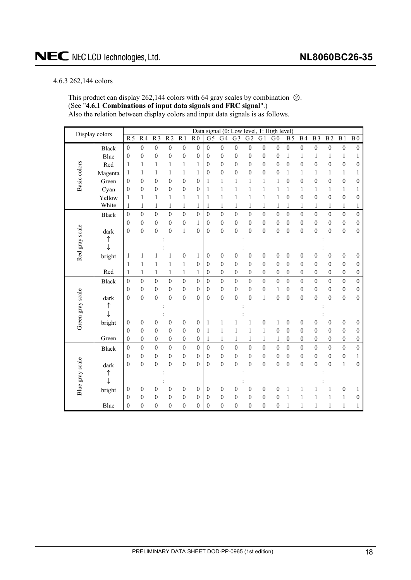### <span id="page-17-0"></span>4.6.3 262,144 colors

This product can display 262,144 colors with 64 gray scales by combination  $\oslash$ . (See "**4.6.1 Combinations of input data signals and FRC signal**".) Also the relation between display colors and input data signals is as follows.

| Display colors   |              |                  |                  |                  |                  |                  |                  | Data signal (0: Low level, |                  |                  |                  |                  | 1: High level)   |                  |                  |                  |                  |                  |                  |
|------------------|--------------|------------------|------------------|------------------|------------------|------------------|------------------|----------------------------|------------------|------------------|------------------|------------------|------------------|------------------|------------------|------------------|------------------|------------------|------------------|
|                  |              | R <sub>5</sub>   | $\overline{R4}$  | $\overline{R}$   | $\overline{R2}$  | $\overline{R1}$  | R <sub>0</sub>   | $\overline{G}$             | G <sub>4</sub>   | G <sub>3</sub>   | $\overline{G2}$  | $\overline{G1}$  | $\overline{G}0$  | <b>B5</b>        | <b>B4</b>        | $\overline{B3}$  | $\overline{B2}$  | $\overline{B1}$  | $\overline{B0}$  |
|                  | <b>Black</b> | $\boldsymbol{0}$ | $\boldsymbol{0}$ | $\boldsymbol{0}$ | $\boldsymbol{0}$ | $\boldsymbol{0}$ | $\boldsymbol{0}$ | $\mathbf{0}$               | $\boldsymbol{0}$ | $\boldsymbol{0}$ | $\boldsymbol{0}$ | $\boldsymbol{0}$ | $\boldsymbol{0}$ | $\mathbf{0}$     | $\boldsymbol{0}$ | $\boldsymbol{0}$ | $\boldsymbol{0}$ | $\boldsymbol{0}$ | $\boldsymbol{0}$ |
|                  | Blue         | $\boldsymbol{0}$ | $\boldsymbol{0}$ | $\boldsymbol{0}$ | $\boldsymbol{0}$ | $\boldsymbol{0}$ | $\mathbf{0}$     | $\mathbf{0}$               | $\mathbf{0}$     | $\boldsymbol{0}$ | $\boldsymbol{0}$ | $\boldsymbol{0}$ | $\boldsymbol{0}$ | $\mathbf{1}$     | $\mathbf{1}$     | $\mathbf{1}$     | $\mathbf{1}$     | $\,1$            | 1                |
|                  | Red          | 1                | 1                | 1                | 1                | $\mathbf{1}$     | 1                | $\mathbf{0}$               | $\mathbf{0}$     | $\mathbf{0}$     | $\boldsymbol{0}$ | $\boldsymbol{0}$ | $\mathbf{0}$     | $\mathbf{0}$     | $\mathbf{0}$     | $\mathbf{0}$     | $\boldsymbol{0}$ | $\boldsymbol{0}$ | $\boldsymbol{0}$ |
| Basic colors     | Magenta      | 1                | 1                | 1                | $\mathbf{1}$     | $\mathbf{1}$     | $\mathbf{1}$     | $\mathbf{0}$               | $\overline{0}$   | $\overline{0}$   | $\mathbf{0}$     | $\boldsymbol{0}$ | $\mathbf{0}$     | 1                | $\mathbf{1}$     | 1                | $\mathbf{1}$     | $\mathbf{1}$     | 1                |
|                  | Green        | $\boldsymbol{0}$ | $\overline{0}$   | $\mathbf{0}$     | $\boldsymbol{0}$ | $\boldsymbol{0}$ | $\mathbf{0}$     | $\mathbf{1}$               | $\mathbf{1}$     | $\mathbf{1}$     | $\mathbf{1}$     | $\mathbf{1}$     | $\mathbf{1}$     | $\mathbf{0}$     | $\mathbf{0}$     | $\mathbf{0}$     | $\boldsymbol{0}$ | $\boldsymbol{0}$ | $\boldsymbol{0}$ |
|                  | Cyan         | $\mathbf{0}$     | $\mathbf{0}$     | $\mathbf{0}$     | $\boldsymbol{0}$ | $\boldsymbol{0}$ | $\mathbf{0}$     | $\mathbf{1}$               | 1                | 1                | 1                | $\mathbf{1}$     | 1                | 1                | 1                | 1                | $\mathbf{1}$     | $\mathbf{1}$     | 1                |
|                  | Yellow       | $\mathbf{1}$     | $\mathbf{1}$     | $\mathbf{1}$     | $\mathbf{1}$     | $\mathbf{1}$     | $\mathbf{1}$     | $\mathbf{1}$               | $\mathbf{1}$     | $\mathbf{1}$     | $\mathbf{1}$     | $\mathbf{1}$     | $\mathbf{1}$     | $\mathbf{0}$     | $\mathbf{0}$     | $\overline{0}$   | $\overline{0}$   | $\mathbf{0}$     | $\boldsymbol{0}$ |
|                  | White        | $\mathbf{1}$     | $\mathbf{1}$     | $\mathbf{1}$     | $\mathbf{1}$     | $\mathbf{1}$     | $\mathbf{1}$     | $\mathbf{1}$               | $\mathbf{1}$     | $\mathbf{1}$     | $\,1$            | $\mathbf{1}$     | $\mathbf{1}$     | $\mathbf{1}$     | $\mathbf{1}$     | $\mathbf{1}$     | $\mathbf{1}$     | $\,1$            | $\mathbf{1}$     |
|                  | <b>Black</b> | $\mathbf{0}$     | $\boldsymbol{0}$ | $\boldsymbol{0}$ | $\mathbf{0}$     | $\boldsymbol{0}$ | $\boldsymbol{0}$ | $\boldsymbol{0}$           | $\mathbf{0}$     | $\mathbf{0}$     | $\mathbf{0}$     | $\boldsymbol{0}$ | $\boldsymbol{0}$ | $\boldsymbol{0}$ | $\mathbf{0}$     | $\mathbf{0}$     | $\boldsymbol{0}$ | $\boldsymbol{0}$ | $\boldsymbol{0}$ |
|                  |              | $\mathbf{0}$     | $\mathbf{0}$     | $\boldsymbol{0}$ | $\boldsymbol{0}$ | $\boldsymbol{0}$ | 1                | $\theta$                   | $\mathbf{0}$     | $\boldsymbol{0}$ | $\boldsymbol{0}$ | $\boldsymbol{0}$ | $\theta$         | $\mathbf{0}$     | $\mathbf{0}$     | $\boldsymbol{0}$ | $\mathbf{0}$     | $\boldsymbol{0}$ | $\boldsymbol{0}$ |
|                  | dark         | $\boldsymbol{0}$ | $\boldsymbol{0}$ | $\boldsymbol{0}$ | $\boldsymbol{0}$ | $\mathbf{1}$     | $\theta$         | $\mathbf{0}$               | $\boldsymbol{0}$ | $\boldsymbol{0}$ | $\boldsymbol{0}$ | $\mathbf{0}$     | $\theta$         | $\boldsymbol{0}$ | $\mathbf{0}$     | $\mathbf{0}$     | $\boldsymbol{0}$ | $\boldsymbol{0}$ | $\boldsymbol{0}$ |
| Red gray scale   | ↑            |                  |                  |                  |                  |                  |                  |                            |                  |                  |                  |                  |                  |                  |                  |                  |                  |                  |                  |
|                  | $\downarrow$ |                  |                  |                  |                  |                  |                  |                            |                  |                  |                  |                  |                  |                  |                  |                  |                  |                  |                  |
|                  | bright       | 1                | 1                |                  | 1                | $\boldsymbol{0}$ | 1                | $\boldsymbol{0}$           | $\boldsymbol{0}$ | $\mathbf{0}$     | $\boldsymbol{0}$ | $\boldsymbol{0}$ | $\mathbf{0}$     | $\boldsymbol{0}$ | $\boldsymbol{0}$ | $\mathbf{0}$     | $\boldsymbol{0}$ | $\boldsymbol{0}$ | $\boldsymbol{0}$ |
|                  |              | $\mathbf{1}$     | $\mathbf{1}$     | 1                | $\mathbf{1}$     | $\mathbf{1}$     | $\mathbf{0}$     | $\mathbf{0}$               | $\mathbf{0}$     | $\mathbf{0}$     | $\overline{0}$   | $\boldsymbol{0}$ | $\theta$         | $\boldsymbol{0}$ | $\boldsymbol{0}$ | $\mathbf{0}$     | $\overline{0}$   | $\boldsymbol{0}$ | $\boldsymbol{0}$ |
|                  | Red          | $\mathbf{1}$     | 1                | $\mathbf{1}$     | $\mathbf{1}$     | $\mathbf{1}$     | $\mathbf{1}$     | $\boldsymbol{0}$           | $\boldsymbol{0}$ | $\boldsymbol{0}$ | $\boldsymbol{0}$ | $\boldsymbol{0}$ | $\boldsymbol{0}$ | $\boldsymbol{0}$ | $\mathbf{0}$     | $\boldsymbol{0}$ | $\boldsymbol{0}$ | $\boldsymbol{0}$ | $\boldsymbol{0}$ |
|                  | <b>Black</b> | $\boldsymbol{0}$ | $\theta$         | $\overline{0}$   | $\mathbf{0}$     | $\mathbf{0}$     | $\theta$         | $\theta$                   | $\theta$         | $\mathbf{0}$     | $\mathbf{0}$     | $\mathbf{0}$     | $\theta$         | $\theta$         | $\theta$         | $\overline{0}$   | $\boldsymbol{0}$ | $\mathbf{0}$     | $\boldsymbol{0}$ |
|                  |              | $\boldsymbol{0}$ | $\boldsymbol{0}$ | $\overline{0}$   | $\boldsymbol{0}$ | $\boldsymbol{0}$ | $\boldsymbol{0}$ | $\mathbf{0}$               | $\boldsymbol{0}$ | $\boldsymbol{0}$ | $\boldsymbol{0}$ | $\boldsymbol{0}$ | $\mathbf{1}$     | $\mathbf{0}$     | $\boldsymbol{0}$ | $\boldsymbol{0}$ | $\mathbf{0}$     | $\boldsymbol{0}$ | $\boldsymbol{0}$ |
|                  | dark         | $\mathbf{0}$     | $\boldsymbol{0}$ | $\boldsymbol{0}$ | $\overline{0}$   | $\boldsymbol{0}$ | $\theta$         | $\boldsymbol{0}$           | $\theta$         | $\theta$         | $\boldsymbol{0}$ | $\mathbf{1}$     | $\theta$         | $\boldsymbol{0}$ | $\boldsymbol{0}$ | $\boldsymbol{0}$ | $\mathbf{0}$     | $\boldsymbol{0}$ | $\boldsymbol{0}$ |
|                  | ↑            |                  |                  |                  |                  |                  |                  |                            |                  |                  |                  |                  |                  |                  |                  |                  |                  |                  |                  |
|                  | t            |                  |                  |                  |                  |                  |                  |                            |                  |                  |                  |                  |                  |                  |                  |                  |                  |                  |                  |
| Green gray scale | bright       | $\boldsymbol{0}$ | $\boldsymbol{0}$ | 0                | $\boldsymbol{0}$ | $\boldsymbol{0}$ | $\boldsymbol{0}$ | $\mathbf{1}$               | $\mathbf{1}$     | 1                | 1                | $\boldsymbol{0}$ | $\mathbf{1}$     | $\boldsymbol{0}$ | $\boldsymbol{0}$ | 0                | $\boldsymbol{0}$ | $\boldsymbol{0}$ | $\boldsymbol{0}$ |
|                  |              | $\theta$         | $\mathbf{0}$     | $\mathbf{0}$     | $\mathbf{0}$     | $\mathbf{0}$     | $\mathbf{0}$     | $\mathbf{1}$               | $\mathbf{1}$     | $\mathbf{1}$     | $\mathbf{1}$     | $\,1$            | $\mathbf{0}$     | $\mathbf{0}$     | $\theta$         | $\mathbf{0}$     | $\mathbf{0}$     | $\mathbf{0}$     | $\boldsymbol{0}$ |
|                  | Green        | $\overline{0}$   | $\theta$         | $\mathbf{0}$     | $\mathbf{0}$     | $\boldsymbol{0}$ | $\mathbf{0}$     | 1                          | 1                | 1                | 1                | 1                | 1                | $\mathbf{0}$     | $\theta$         | $\mathbf{0}$     | $\mathbf{0}$     | $\boldsymbol{0}$ | $\boldsymbol{0}$ |
|                  | Black        | $\boldsymbol{0}$ | $\overline{0}$   | $\boldsymbol{0}$ | $\mathbf{0}$     | $\mathbf{0}$     | $\theta$         | $\theta$                   | $\overline{0}$   | $\overline{0}$   | $\overline{0}$   | $\mathbf{0}$     | $\theta$         | $\theta$         | $\mathbf{0}$     | $\overline{0}$   | $\mathbf{0}$     | $\mathbf{0}$     | $\overline{0}$   |
|                  |              | $\boldsymbol{0}$ | $\boldsymbol{0}$ | $\boldsymbol{0}$ | $\boldsymbol{0}$ | $\boldsymbol{0}$ | $\mathbf{0}$     | $\boldsymbol{0}$           | $\mathbf{0}$     | $\boldsymbol{0}$ | $\boldsymbol{0}$ | $\boldsymbol{0}$ | $\mathbf{0}$     | $\mathbf{0}$     | $\mathbf{0}$     | $\boldsymbol{0}$ | $\boldsymbol{0}$ | $\boldsymbol{0}$ | $\mathbf{1}$     |
|                  | dark         | $\boldsymbol{0}$ | $\boldsymbol{0}$ | $\mathbf{0}$     | $\mathbf{0}$     | $\mathbf{0}$     | $\theta$         | $\mathbf{0}$               | $\theta$         | $\mathbf{0}$     | $\mathbf{0}$     | $\boldsymbol{0}$ | $\theta$         | $\mathbf{0}$     | $\boldsymbol{0}$ | $\mathbf{0}$     | $\mathbf{0}$     | $\,1$            | $\boldsymbol{0}$ |
|                  | ↑            |                  |                  |                  |                  |                  |                  |                            |                  |                  |                  |                  |                  |                  |                  |                  |                  |                  |                  |
|                  | $\downarrow$ |                  |                  |                  |                  |                  |                  |                            |                  |                  |                  |                  |                  |                  |                  |                  |                  |                  |                  |
| Blue gray scale  | bright       | $\boldsymbol{0}$ | $\boldsymbol{0}$ | 0                | $\boldsymbol{0}$ | $\boldsymbol{0}$ | $\boldsymbol{0}$ | $\boldsymbol{0}$           | $\boldsymbol{0}$ | $\boldsymbol{0}$ | $\boldsymbol{0}$ | $\boldsymbol{0}$ | $\boldsymbol{0}$ | $\mathbf{1}$     | $\mathbf{1}$     | 1                | $\mathbf{1}$     | $\boldsymbol{0}$ | 1                |
|                  |              | $\theta$         | $\mathbf{0}$     | $\mathbf{0}$     | $\mathbf{0}$     | $\mathbf{0}$     | $\theta$         | $\boldsymbol{0}$           | $\mathbf{0}$     | $\mathbf{0}$     | $\mathbf{0}$     | $\mathbf{0}$     | $\theta$         | 1                | 1                | 1                | $\mathbf{1}$     | $\mathbf{1}$     | 0                |
|                  | Blue         | $\overline{0}$   | $\overline{0}$   | $\mathbf{0}$     | $\boldsymbol{0}$ | $\boldsymbol{0}$ | $\overline{0}$   | $\mathbf{0}$               | $\overline{0}$   | $\overline{0}$   | $\boldsymbol{0}$ | $\boldsymbol{0}$ | $\mathbf{0}$     | 1                | $\mathbf{1}$     | 1                | $\mathbf{1}$     | $\mathbf{1}$     | 1                |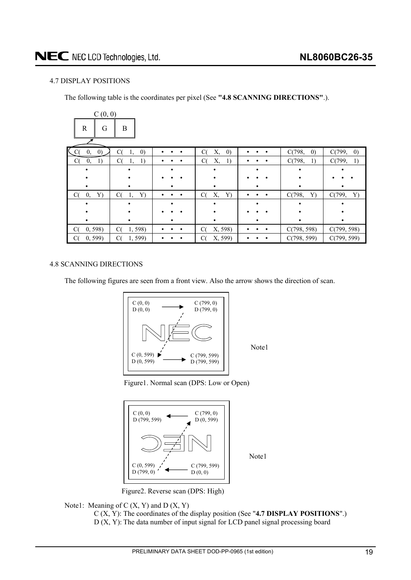# <span id="page-18-0"></span>4.7 DISPLAY POSITIONS

The following table is the coordinates per pixel (See **"4.8 SCANNING DIRECTIONS"**.).

| C(0, 0)                                   |                               |   |                               |                |                             |                             |
|-------------------------------------------|-------------------------------|---|-------------------------------|----------------|-----------------------------|-----------------------------|
| $\mathbf R$<br>G                          | B                             |   |                               |                |                             |                             |
| K<br>$\left( 0\right)$<br>$\cdot$ C<br>0, | C(<br>$\left( 0\right)$<br>1, | ٠ | Х,<br>$\left( 0\right)$<br>C( |                | C(798,<br>$\left( 0\right)$ | C(799,<br>$\left( 0\right)$ |
| C(<br>0,<br>1)                            | 1)<br>C(<br>1,                |   | Х,<br>1)<br>C(                |                | C(798,<br>1)                | C(799,<br>1)                |
|                                           |                               |   |                               |                |                             |                             |
|                                           |                               |   |                               |                |                             |                             |
|                                           |                               |   |                               |                |                             |                             |
| C(<br>0,<br>Y)                            | C(<br>Y)<br>1,                |   | Х,<br>Y)<br>C(                |                | C(798,<br>Y)                | C(799,<br>Y)                |
|                                           |                               |   |                               |                |                             |                             |
|                                           |                               |   |                               |                |                             |                             |
|                                           |                               |   |                               |                |                             |                             |
| C(<br>0, 598                              | C(<br>1,598)                  | ٠ | X, 598)<br>C(                 | ٠<br>$\bullet$ | C(798, 598)                 | C(799, 598)                 |
| 0, 599<br>C(                              | 1,599)<br>C(                  |   | X, 599)<br>C(                 |                | C(798, 599)                 | C(799, 599)                 |

#### 4.8 SCANNING DIRECTIONS

The following figures are seen from a front view. Also the arrow shows the direction of scan.



Note1

Note1





Figure2. Reverse scan (DPS: High)

## Note1: Meaning of  $C(X, Y)$  and  $D(X, Y)$

C (X, Y): The coordinates of the display position (See "**4.7 DISPLAY POSITIONS**".) D (X, Y): The data number of input signal for LCD panel signal processing board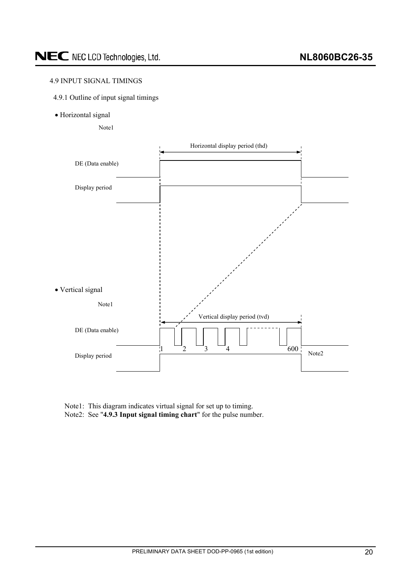# <span id="page-19-0"></span>4.9 INPUT SIGNAL TIMINGS

- 4.9.1 Outline of input signal timings
- · Horizontal signal

Note1



Note1: This diagram indicates virtual signal for set up to timing. Note2: See "**4.9.3 Input signal timing chart**" for the pulse number.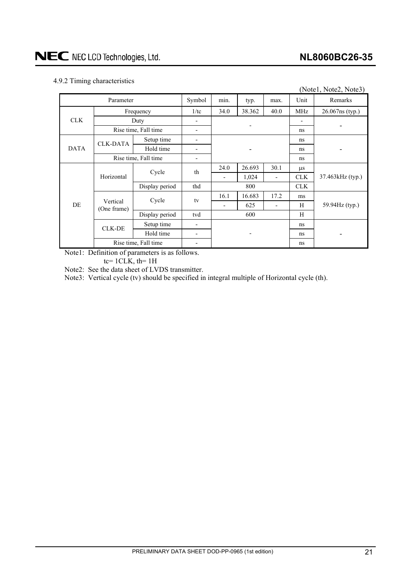# <span id="page-20-0"></span>4.9.2 Timing characteristics

|             |                         |                      |                |                          |        |                          |            | (Note1, Note2, Note3) |  |  |
|-------------|-------------------------|----------------------|----------------|--------------------------|--------|--------------------------|------------|-----------------------|--|--|
|             | Parameter               |                      | Symbol         | min.<br>typ.<br>max.     |        |                          | Unit       | Remarks               |  |  |
|             |                         | Frequency            | 1/tc           | 34.0                     | 38.362 | 40.0                     | MHz        | 26.067ns (typ.)       |  |  |
| <b>CLK</b>  |                         | Duty                 |                |                          |        |                          |            |                       |  |  |
|             |                         | Rise time, Fall time |                |                          |        |                          | ns         |                       |  |  |
|             | <b>CLK-DATA</b>         | Setup time           |                |                          |        |                          | ns         |                       |  |  |
| <b>DATA</b> |                         | Hold time            |                |                          |        |                          | ns         |                       |  |  |
|             | Rise time, Fall time    |                      |                |                          |        |                          | ns         |                       |  |  |
|             |                         | Cycle                | th             | 24.0                     | 26.693 | 30.1                     | $\mu$ s    |                       |  |  |
|             | Horizontal              |                      |                | $\overline{\phantom{0}}$ | 1,024  | $\overline{\phantom{a}}$ | CLK.       | 37.463kHz (typ.)      |  |  |
|             |                         | Display period       | thd            | 800                      |        |                          | <b>CLK</b> |                       |  |  |
|             |                         | Cycle                | tv             | 16.1                     | 16.683 | 17.2                     | ms         |                       |  |  |
| DE          | Vertical<br>(One frame) |                      |                |                          | 625    |                          | H          | 59.94Hz (typ.)        |  |  |
|             |                         | Display period       | tvd            |                          | 600    |                          | H          |                       |  |  |
|             | <b>CLK-DE</b>           | Setup time           |                |                          |        |                          | ns         |                       |  |  |
|             |                         | Hold time            | $\blacksquare$ |                          |        |                          | ns         |                       |  |  |
|             |                         | Rise time, Fall time |                |                          |        |                          | ns         |                       |  |  |

Note1: Definition of parameters is as follows.

tc=  $1CLK$ , th=  $1H$ 

Note2: See the data sheet of LVDS transmitter.

Note3: Vertical cycle (tv) should be specified in integral multiple of Horizontal cycle (th).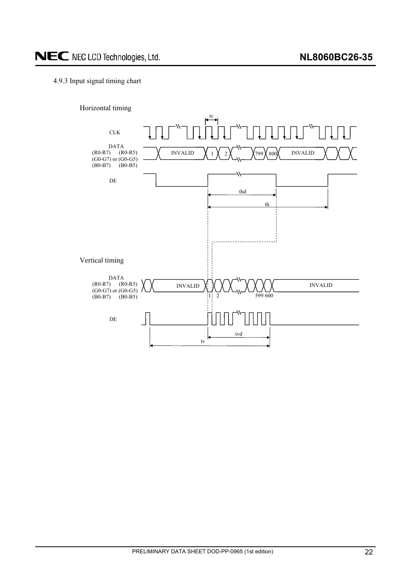# <span id="page-21-0"></span>4.9.3 Input signal timing chart

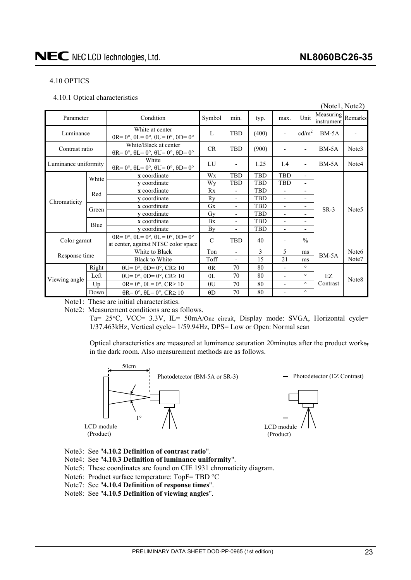### <span id="page-22-0"></span>4.10 OPTICS

4.10.1 Optical characteristics

|                      |       |                                                                                                       |               |                                  |            |                          |                          | (Notel, Note2)                  |                   |
|----------------------|-------|-------------------------------------------------------------------------------------------------------|---------------|----------------------------------|------------|--------------------------|--------------------------|---------------------------------|-------------------|
| Parameter            |       | Condition                                                                                             | Symbol        | min.                             | typ.       | max.                     | Unit                     | Measuring Remarks<br>instrument |                   |
| Luminance            |       | White at center<br>$\theta$ R= 0°, $\theta$ L= 0°, $\theta$ U= 0°, $\theta$ D= 0°                     | L             | TBD                              | (400)      | ۰                        | cd/m <sup>2</sup>        | BM-5A                           |                   |
| Contrast ratio       |       | White/Black at center<br>$\theta$ R= 0°, $\theta$ L= 0°, $\theta$ U= 0°, $\theta$ D= 0°               | CR            | <b>TBD</b>                       | (900)      |                          | $\overline{a}$           | $BM-5A$                         | Note3             |
| Luminance uniformity |       | White<br>$\theta$ R= 0°, $\theta$ L= 0°, $\theta$ U= 0°, $\theta$ D= 0°                               | LU            | $\overline{a}$                   | 1.25       | 1.4                      | $\overline{\phantom{a}}$ | $BM-5A$                         | Note4             |
|                      | White | x coordinate                                                                                          | Wx            | TBD                              | TBD        | <b>TBD</b>               | $\overline{\phantom{a}}$ |                                 |                   |
|                      |       | v coordinate                                                                                          | Wy            | <b>TBD</b>                       | <b>TBD</b> | <b>TBD</b>               | $\overline{\phantom{a}}$ |                                 |                   |
| Chromaticity         | Red   | x coordinate                                                                                          | Rx            | L,                               | TBD        | L,                       | $\blacksquare$           |                                 |                   |
|                      |       | y coordinate                                                                                          | Ry            | $\overline{\phantom{0}}$         | TBD        | $\overline{\phantom{0}}$ | $\overline{\phantom{a}}$ |                                 |                   |
|                      | Green | x coordinate                                                                                          | Gx            | $\overline{a}$                   | TBD        | $\overline{a}$           | $\overline{\phantom{a}}$ | $SR-3$                          | Note <sub>5</sub> |
|                      |       | v coordinate                                                                                          | Gy            | $\overline{\phantom{0}}$         | <b>TBD</b> | $\overline{\phantom{0}}$ | $\overline{\phantom{a}}$ |                                 |                   |
|                      | Blue  | x coordinate                                                                                          | Bx            | $\overline{\phantom{0}}$         | <b>TBD</b> | $\overline{a}$           | $\overline{\phantom{a}}$ |                                 |                   |
|                      |       | y coordinate                                                                                          | By            | $\overline{\phantom{0}}$         | TBD        | $\overline{\phantom{0}}$ | $\blacksquare$           |                                 |                   |
| Color gamut          |       | $\theta$ R= 0°, $\theta$ L= 0°, $\theta$ U= 0°, $\theta$ D= 0°<br>at center, against NTSC color space | $\mathcal{C}$ | <b>TBD</b>                       | 40         |                          | $\frac{0}{0}$            |                                 |                   |
|                      |       | White to Black                                                                                        | Ton           |                                  | 3          | 5                        | ms                       | $BM-5A$                         | Note <sub>6</sub> |
| Response time        |       | <b>Black to White</b>                                                                                 | Toff          | 21<br>15<br>ms<br>$\overline{a}$ |            |                          | Note7                    |                                 |                   |
|                      | Right | $\theta U = 0^\circ$ , $\theta D = 0^\circ$ , $CR \ge 10$                                             | $\theta$ R    | 70                               | 80         |                          | $\circ$                  |                                 |                   |
|                      | Left  | $\theta U = 0^\circ$ , $\theta D = 0^\circ$ , $CR \ge 10$                                             | $\theta$ L    | 70                               | 80         | $\overline{a}$           | $\circ$                  | EZ                              |                   |
| Viewing angle        | Up    | $\theta$ R= 0°, $\theta$ L= 0°, CR≥ 10                                                                | $\theta U$    | 70                               | 80         | $\overline{a}$           | $\circ$                  | Contrast                        | Note <sub>8</sub> |
|                      | Down  | $\theta$ R= 0°, $\theta$ L= 0°, CR≥ 10                                                                | $\theta$ D    | 70                               | 80         | $\overline{a}$           | $\circ$                  |                                 |                   |

Note1: These are initial characteristics.

Note2: Measurement conditions are as follows.

Ta= 25°C, VCC= 3.3V, IL= 50mA/One circuit, Display mode: SVGA, Horizontal cycle= 1/37.463kHz, Vertical cycle= 1/59.94Hz, DPS= Low or Open: Normal scan

Optical characteristics are measured at luminance saturation 20minutes after the product works, in the dark room. Also measurement methods are as follows.



- Note3: See "**4.10.2 Definition of contrast ratio**".
- Note4: See "**4.10.3 Definition of luminance uniformity**".
- Note5: These coordinates are found on CIE 1931 chromaticity diagram.
- Note6: Product surface temperature:  $TopF = TBD °C$
- Note7: See "**4.10.4 Definition of response times**".
- Note8: See "**4.10.5 Definition of viewing angles**".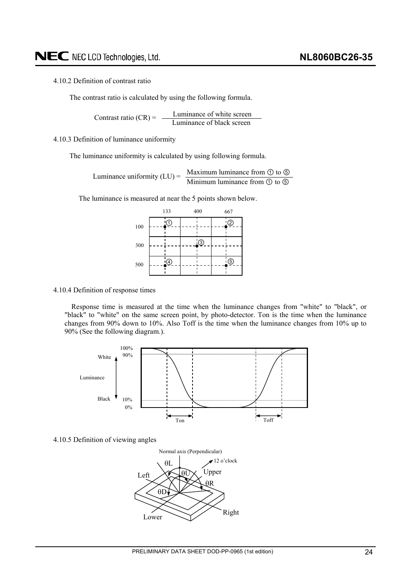#### <span id="page-23-0"></span>4.10.2 Definition of contrast ratio

The contrast ratio is calculated by using the following formula.

Luminance of white screen Contrast ratio  $(CR) = \frac{L}{L}$  Luminance of black screen

4.10.3 Definition of luminance uniformity

The luminance uniformity is calculated by using following formula.

Luminance uniformity (LU) =  $\frac{\text{Maximum luminance from } \textcircled{1} \text{ to } \textcircled{1}}{\text{Minimum luminance from } \textcircled{1} \text{ to } \textcircled{1}}$ 

The luminance is measured at near the 5 points shown below.

|     | 133              | 400         | 667         |  |  |  |
|-----|------------------|-------------|-------------|--|--|--|
| 100 | 1.               |             | ②           |  |  |  |
| 300 |                  | $\circledS$ |             |  |  |  |
| 500 | $\left(4\right)$ |             | $\cdot$ (5) |  |  |  |

#### 4.10.4 Definition of response times

Response time is measured at the time when the luminance changes from "white" to "black", or "black" to "white" on the same screen point, by photo-detector. Ton is the time when the luminance changes from 90% down to 10%. Also Toff is the time when the luminance changes from 10% up to 90% (See the following diagram.).



4.10.5 Definition of viewing angles

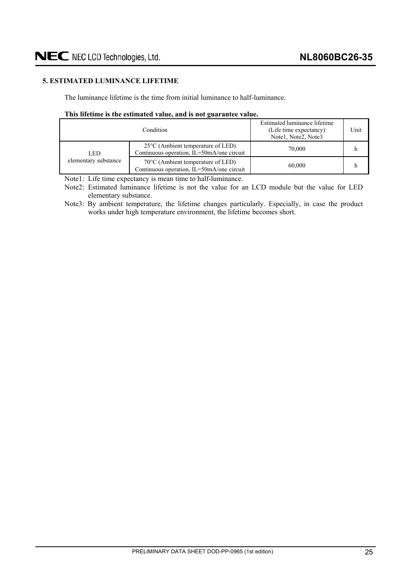# <span id="page-24-0"></span>**5. ESTIMATED LUMINANCE LIFETIME**

The luminance lifetime is the time from initial luminance to half-luminance.

#### **This lifetime is the estimated value, and is not guarantee value.**

|                      | Condition                                                                                | Estimated luminance lifetime<br>(Life time expectancy)<br>Note1, Note2, Note3 | Unit |
|----------------------|------------------------------------------------------------------------------------------|-------------------------------------------------------------------------------|------|
| LED                  | $25^{\circ}$ C (Ambient temperature of LED)<br>Continuous operation, IL=50mA/one circuit | 70,000                                                                        |      |
| elementary substance | $70^{\circ}$ C (Ambient temperature of LED)<br>Continuous operation, IL=50mA/one circuit | 60,000                                                                        |      |

Note1: Life time expectancy is mean time to half-luminance.

Note2: Estimated luminance lifetime is not the value for an LCD module but the value for LED elementary substance.

Note3: By ambient temperature, the lifetime changes particularly. Especially, in case the product works under high temperature environment, the lifetime becomes short.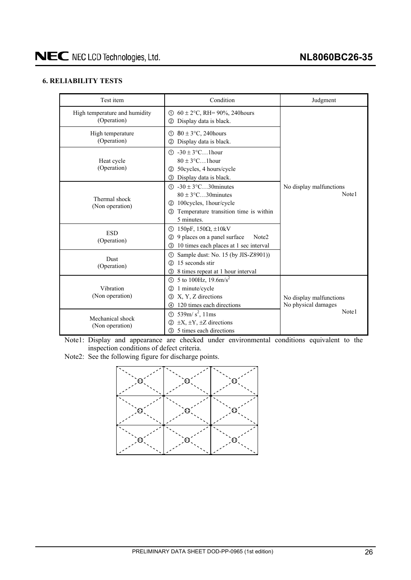# <span id="page-25-0"></span>**6. RELIABILITY TESTS**

| Test item                                    | Condition                                                                                                                                                     | Judgment                                       |  |  |  |
|----------------------------------------------|---------------------------------------------------------------------------------------------------------------------------------------------------------------|------------------------------------------------|--|--|--|
| High temperature and humidity<br>(Operation) | ① $60 \pm 2$ °C, RH= 90%, 240 hours<br>Display data is black.<br>(2)                                                                                          |                                                |  |  |  |
| High temperature<br>(Operation)              | $\textcircled{1}$ 80 ± 3 $\textcirc$ C, 240 hours<br>Display data is black.<br>(2)                                                                            |                                                |  |  |  |
| Heat cycle<br>(Operation)                    | $\textcircled{1}$ -30 ± 3°C1hour<br>$80 \pm 3$ °C1 hour<br>50cycles, 4 hours/cycle<br>(2)<br>Display data is black.<br>③                                      |                                                |  |  |  |
| Thermal shock<br>(Non operation)             | $\textcircled{1}$ -30 ± 3°C30 minutes<br>$80 \pm 3$ °C30 minutes<br>100cycles, 1hour/cycle<br>(2)<br>Temperature transition time is within<br>3<br>5 minutes. | No display malfunctions<br>Note1               |  |  |  |
| <b>ESD</b><br>(Operation)                    | $150pF$ , $150Ω$ , $±10kV$<br>①<br>9 places on a panel surface<br>Note <sub>2</sub><br>(2)<br>10 times each places at 1 sec interval<br>3                     |                                                |  |  |  |
| <b>Dust</b><br>(Operation)                   | Sample dust: No. 15 (by JIS-Z8901))<br>ന<br>15 seconds stir<br>(2)<br>8 times repeat at 1 hour interval<br>③                                                  |                                                |  |  |  |
| Vibration<br>(Non operation)                 | 5 to 100Hz, $19.6 \text{m/s}^2$<br>ന<br>1 minute/cycle<br>$\circled{2}$<br>X, Y, Z directions<br>③<br>120 times each directions<br>4                          | No display malfunctions<br>No physical damages |  |  |  |
| Mechanical shock<br>(Non operation)          | 539m/ $s^2$ , 11ms<br>$\odot$<br>$\pm X$ , $\pm Y$ , $\pm Z$ directions<br>(2)<br>5 times each directions<br>3                                                | Note1                                          |  |  |  |

Note1: Display and appearance are checked under environmental conditions equivalent to the inspection conditions of defect criteria.

Note2: See the following figure for discharge points.

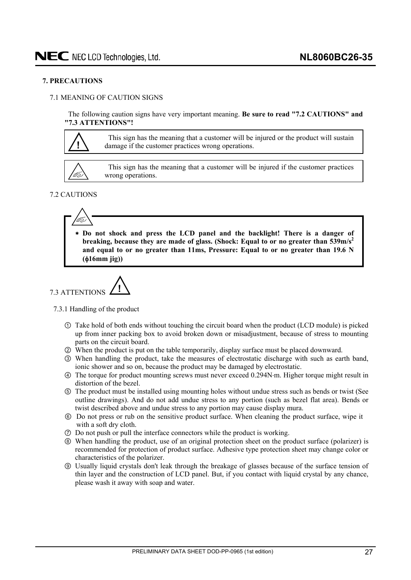#### <span id="page-26-0"></span>**7. PRECAUTIONS**

### 7.1 MEANING OF CAUTION SIGNS

The following caution signs have very important meaning. **Be sure to read "7.2 CAUTIONS" and "7.3 ATTENTIONS"!** 

**!**

This sign has the meaning that a customer will be injured or the product will sustain damage if the customer practices wrong operations.



This sign has the meaning that a customer will be injured if the customer practices wrong operations.

## 7.2 CAUTIONS



  **Do not shock and press the LCD panel and the backlight! There is a danger of breaking, because they are made of glass. (Shock: Equal to or no greater than 539m/s<sup>2</sup>) and equal to or no greater than 11ms, Pressure: Equal to or no greater than 19.6 N (**I**16mm jig))** 



7.3.1 Handling of the product

- Take hold of both ends without touching the circuit board when the product (LCD module) is picked up from inner packing box to avoid broken down or misadjustment, because of stress to mounting parts on the circuit board.
- ཱ When the product is put on the table temporarily, display surface must be placed downward.
- ི When handling the product, take the measures of electrostatic discharge with such as earth band, ionic shower and so on, because the product may be damaged by electrostatic.
- ཱི The torque for product mounting screws must never exceed 0.294Nm. Higher torque might result in distortion of the bezel.
- ུ The product must be installed using mounting holes without undue stress such as bends or twist (See outline drawings). And do not add undue stress to any portion (such as bezel flat area). Bends or twist described above and undue stress to any portion may cause display mura.
- ཱུ Do not press or rub on the sensitive product surface. When cleaning the product surface, wipe it with a soft dry cloth.
- ྲྀ Do not push or pull the interface connectors while the product is working.
- ཷ When handling the product, use of an original protection sheet on the product surface (polarizer) is recommended for protection of product surface. Adhesive type protection sheet may change color or characteristics of the polarizer.
- ླྀ Usually liquid crystals don't leak through the breakage of glasses because of the surface tension of thin layer and the construction of LCD panel. But, if you contact with liquid crystal by any chance, please wash it away with soap and water.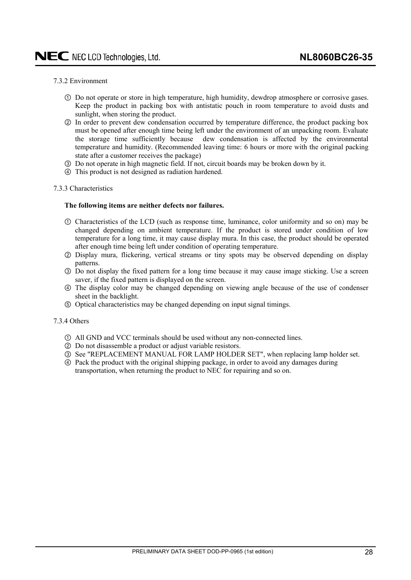#### <span id="page-27-0"></span>7.3.2 Environment

- Do not operate or store in high temperature, high humidity, dewdrop atmosphere or corrosive gases. Keep the product in packing box with antistatic pouch in room temperature to avoid dusts and sunlight, when storing the product.
- ཱ In order to prevent dew condensation occurred by temperature difference, the product packing box must be opened after enough time being left under the environment of an unpacking room. Evaluate the storage time sufficiently because dew condensation is affected by the environmental temperature and humidity. (Recommended leaving time: 6 hours or more with the original packing state after a customer receives the package)
- ི Do not operate in high magnetic field. If not, circuit boards may be broken down by it.
- ཱི This product is not designed as radiation hardened.

#### 7.3.3 Characteristics

#### **The following items are neither defects nor failures.**

- Characteristics of the LCD (such as response time, luminance, color uniformity and so on) may be changed depending on ambient temperature. If the product is stored under condition of low temperature for a long time, it may cause display mura. In this case, the product should be operated after enough time being left under condition of operating temperature.
- ཱ Display mura, flickering, vertical streams or tiny spots may be observed depending on display patterns.
- ི Do not display the fixed pattern for a long time because it may cause image sticking. Use a screen saver, if the fixed pattern is displayed on the screen.
- ཱི The display color may be changed depending on viewing angle because of the use of condenser sheet in the backlight.
- ུ Optical characteristics may be changed depending on input signal timings.

#### 7.3.4 Others

- All GND and VCC terminals should be used without any non-connected lines.
- ཱ Do not disassemble a product or adjust variable resistors.
- ི See "REPLACEMENT MANUAL FOR LAMP HOLDER SET", when replacing lamp holder set.
- ཱི Pack the product with the original shipping package, in order to avoid any damages during transportation, when returning the product to NEC for repairing and so on.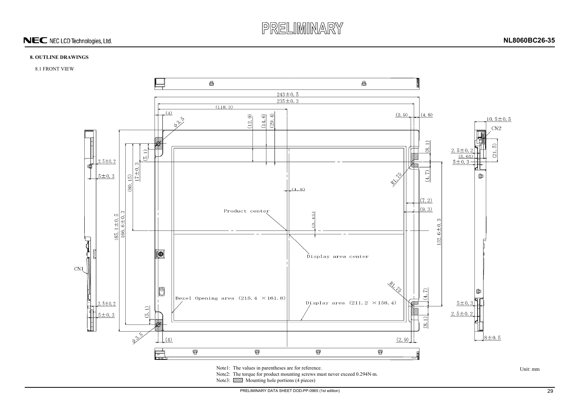

# NEC NEC LCD Technologies, Ltd.



# **8. OUTLINE DRAWINGS**

#### 8.1 FRONT VIEW



Note2: The torque for product mounting screws must never exceed 0.294N·m.

Note3: **WA** Mounting hole portions (4 pieces)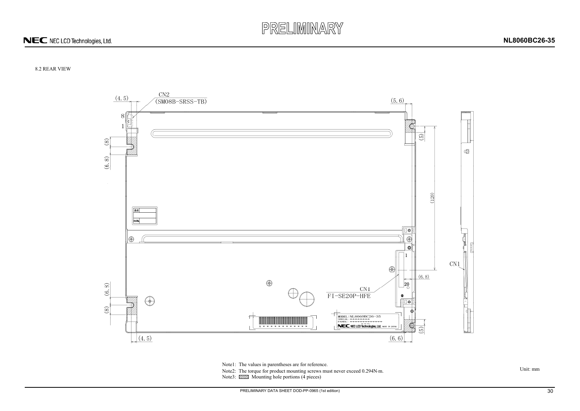

# NEC NEC LCD Technologies, Ltd.



# 8.2 REAR VIEW



Note1: The values in parentheses are for reference.<br>Note2: The torque for product mounting screws must never exceed 0.294N·m. Unit: mm

Note3:  $\overline{\mathbb{Z}}$  Mounting hole portions (4 pieces)